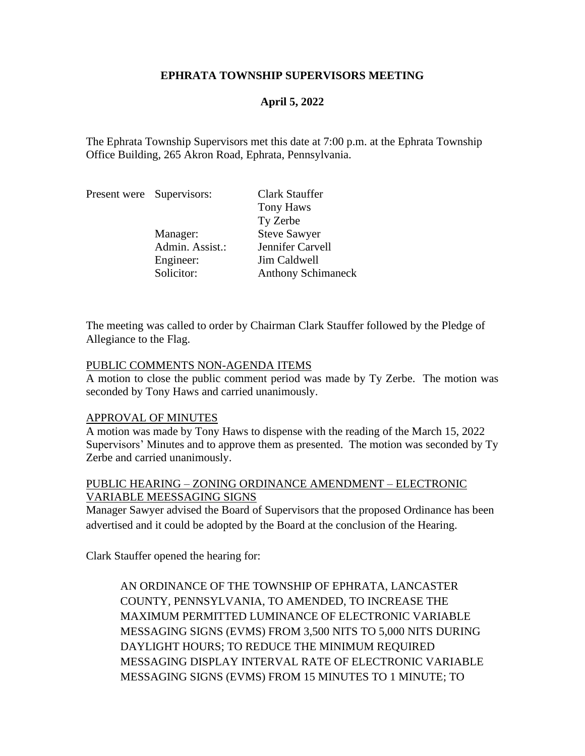### **EPHRATA TOWNSHIP SUPERVISORS MEETING**

# **April 5, 2022**

The Ephrata Township Supervisors met this date at 7:00 p.m. at the Ephrata Township Office Building, 265 Akron Road, Ephrata, Pennsylvania.

|  | Present were Supervisors: | Clark Stauffer            |
|--|---------------------------|---------------------------|
|  |                           | <b>Tony Haws</b>          |
|  |                           | Ty Zerbe                  |
|  | Manager:                  | <b>Steve Sawyer</b>       |
|  | Admin. Assist.:           | Jennifer Carvell          |
|  | Engineer:                 | Jim Caldwell              |
|  | Solicitor:                | <b>Anthony Schimaneck</b> |

The meeting was called to order by Chairman Clark Stauffer followed by the Pledge of Allegiance to the Flag.

#### PUBLIC COMMENTS NON-AGENDA ITEMS

A motion to close the public comment period was made by Ty Zerbe. The motion was seconded by Tony Haws and carried unanimously.

### APPROVAL OF MINUTES

A motion was made by Tony Haws to dispense with the reading of the March 15, 2022 Supervisors' Minutes and to approve them as presented. The motion was seconded by Ty Zerbe and carried unanimously.

### PUBLIC HEARING – ZONING ORDINANCE AMENDMENT – ELECTRONIC VARIABLE MEESSAGING SIGNS

Manager Sawyer advised the Board of Supervisors that the proposed Ordinance has been advertised and it could be adopted by the Board at the conclusion of the Hearing.

Clark Stauffer opened the hearing for:

AN ORDINANCE OF THE TOWNSHIP OF EPHRATA, LANCASTER COUNTY, PENNSYLVANIA, TO AMENDED, TO INCREASE THE MAXIMUM PERMITTED LUMINANCE OF ELECTRONIC VARIABLE MESSAGING SIGNS (EVMS) FROM 3,500 NITS TO 5,000 NITS DURING DAYLIGHT HOURS; TO REDUCE THE MINIMUM REQUIRED MESSAGING DISPLAY INTERVAL RATE OF ELECTRONIC VARIABLE MESSAGING SIGNS (EVMS) FROM 15 MINUTES TO 1 MINUTE; TO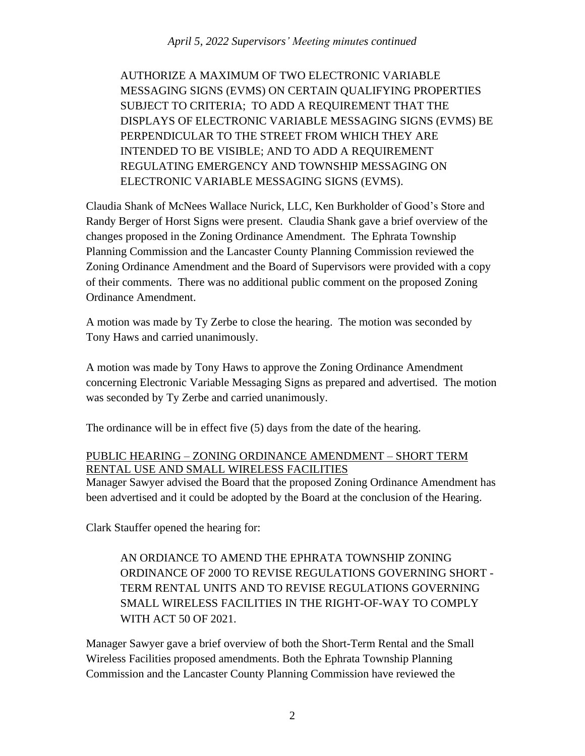AUTHORIZE A MAXIMUM OF TWO ELECTRONIC VARIABLE MESSAGING SIGNS (EVMS) ON CERTAIN QUALIFYING PROPERTIES SUBJECT TO CRITERIA; TO ADD A REQUIREMENT THAT THE DISPLAYS OF ELECTRONIC VARIABLE MESSAGING SIGNS (EVMS) BE PERPENDICULAR TO THE STREET FROM WHICH THEY ARE INTENDED TO BE VISIBLE; AND TO ADD A REQUIREMENT REGULATING EMERGENCY AND TOWNSHIP MESSAGING ON ELECTRONIC VARIABLE MESSAGING SIGNS (EVMS).

Claudia Shank of McNees Wallace Nurick, LLC, Ken Burkholder of Good's Store and Randy Berger of Horst Signs were present. Claudia Shank gave a brief overview of the changes proposed in the Zoning Ordinance Amendment. The Ephrata Township Planning Commission and the Lancaster County Planning Commission reviewed the Zoning Ordinance Amendment and the Board of Supervisors were provided with a copy of their comments. There was no additional public comment on the proposed Zoning Ordinance Amendment.

A motion was made by Ty Zerbe to close the hearing. The motion was seconded by Tony Haws and carried unanimously.

A motion was made by Tony Haws to approve the Zoning Ordinance Amendment concerning Electronic Variable Messaging Signs as prepared and advertised. The motion was seconded by Ty Zerbe and carried unanimously.

The ordinance will be in effect five (5) days from the date of the hearing.

# PUBLIC HEARING – ZONING ORDINANCE AMENDMENT – SHORT TERM RENTAL USE AND SMALL WIRELESS FACILITIES

Manager Sawyer advised the Board that the proposed Zoning Ordinance Amendment has been advertised and it could be adopted by the Board at the conclusion of the Hearing.

Clark Stauffer opened the hearing for:

AN ORDIANCE TO AMEND THE EPHRATA TOWNSHIP ZONING ORDINANCE OF 2000 TO REVISE REGULATIONS GOVERNING SHORT - TERM RENTAL UNITS AND TO REVISE REGULATIONS GOVERNING SMALL WIRELESS FACILITIES IN THE RIGHT-OF-WAY TO COMPLY WITH ACT 50 OF 2021.

Manager Sawyer gave a brief overview of both the Short-Term Rental and the Small Wireless Facilities proposed amendments. Both the Ephrata Township Planning Commission and the Lancaster County Planning Commission have reviewed the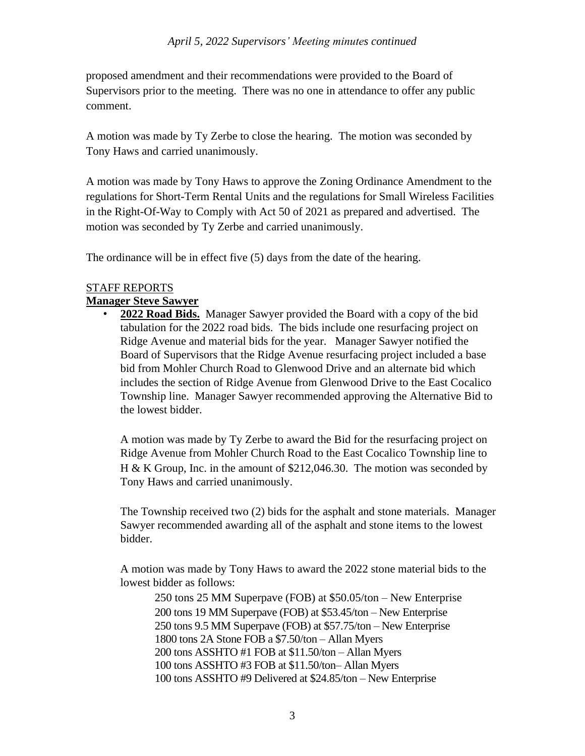proposed amendment and their recommendations were provided to the Board of Supervisors prior to the meeting. There was no one in attendance to offer any public comment.

A motion was made by Ty Zerbe to close the hearing. The motion was seconded by Tony Haws and carried unanimously.

A motion was made by Tony Haws to approve the Zoning Ordinance Amendment to the regulations for Short-Term Rental Units and the regulations for Small Wireless Facilities in the Right-Of-Way to Comply with Act 50 of 2021 as prepared and advertised. The motion was seconded by Ty Zerbe and carried unanimously.

The ordinance will be in effect five (5) days from the date of the hearing.

# STAFF REPORTS

### **Manager Steve Sawyer**

• **2022 Road Bids.** Manager Sawyer provided the Board with a copy of the bid tabulation for the 2022 road bids. The bids include one resurfacing project on Ridge Avenue and material bids for the year. Manager Sawyer notified the Board of Supervisors that the Ridge Avenue resurfacing project included a base bid from Mohler Church Road to Glenwood Drive and an alternate bid which includes the section of Ridge Avenue from Glenwood Drive to the East Cocalico Township line. Manager Sawyer recommended approving the Alternative Bid to the lowest bidder.

A motion was made by Ty Zerbe to award the Bid for the resurfacing project on Ridge Avenue from Mohler Church Road to the East Cocalico Township line to H & K Group, Inc. in the amount of \$212,046.30. The motion was seconded by Tony Haws and carried unanimously.

The Township received two (2) bids for the asphalt and stone materials. Manager Sawyer recommended awarding all of the asphalt and stone items to the lowest bidder.

A motion was made by Tony Haws to award the 2022 stone material bids to the lowest bidder as follows:

250 tons 25 MM Superpave (FOB) at \$50.05/ton – New Enterprise 200 tons 19 MM Superpave (FOB) at \$53.45/ton – New Enterprise 250 tons 9.5 MM Superpave (FOB) at \$57.75/ton – New Enterprise 1800 tons 2A Stone FOB a \$7.50/ton – Allan Myers 200 tons ASSHTO #1 FOB at \$11.50/ton – Allan Myers 100 tons ASSHTO #3 FOB at \$11.50/ton– Allan Myers 100 tons ASSHTO #9 Delivered at \$24.85/ton – New Enterprise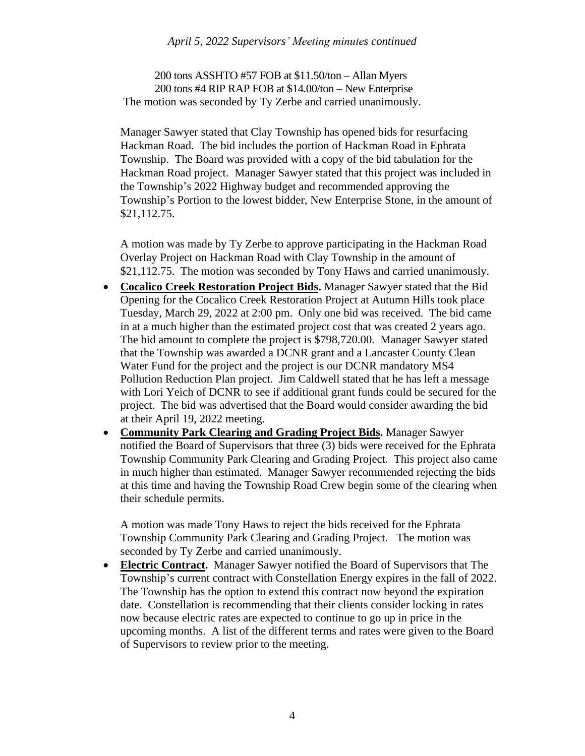200 tons ASSHTO #57 FOB at \$11.50/ton – Allan Myers 200 tons #4 RIP RAP FOB at \$14.00/ton – New Enterprise The motion was seconded by Ty Zerbe and carried unanimously.

Manager Sawyer stated that Clay Township has opened bids for resurfacing Hackman Road. The bid includes the portion of Hackman Road in Ephrata Township. The Board was provided with a copy of the bid tabulation for the Hackman Road project. Manager Sawyer stated that this project was included in the Township's 2022 Highway budget and recommended approving the Township's Portion to the lowest bidder, New Enterprise Stone, in the amount of \$21,112.75.

A motion was made by Ty Zerbe to approve participating in the Hackman Road Overlay Project on Hackman Road with Clay Township in the amount of \$21,112.75. The motion was seconded by Tony Haws and carried unanimously.

- **Cocalico Creek Restoration Project Bids.** Manager Sawyer stated that the Bid Opening for the Cocalico Creek Restoration Project at Autumn Hills took place Tuesday, March 29, 2022 at 2:00 pm. Only one bid was received. The bid came in at a much higher than the estimated project cost that was created 2 years ago. The bid amount to complete the project is \$798,720.00. Manager Sawyer stated that the Township was awarded a DCNR grant and a Lancaster County Clean Water Fund for the project and the project is our DCNR mandatory MS4 Pollution Reduction Plan project. Jim Caldwell stated that he has left a message with Lori Yeich of DCNR to see if additional grant funds could be secured for the project. The bid was advertised that the Board would consider awarding the bid at their April 19, 2022 meeting.
- **Community Park Clearing and Grading Project Bids.** Manager Sawyer notified the Board of Supervisors that three (3) bids were received for the Ephrata Township Community Park Clearing and Grading Project. This project also came in much higher than estimated. Manager Sawyer recommended rejecting the bids at this time and having the Township Road Crew begin some of the clearing when their schedule permits.

A motion was made Tony Haws to reject the bids received for the Ephrata Township Community Park Clearing and Grading Project. The motion was seconded by Ty Zerbe and carried unanimously.

• **Electric Contract.** Manager Sawyer notified the Board of Supervisors that The Township's current contract with Constellation Energy expires in the fall of 2022. The Township has the option to extend this contract now beyond the expiration date. Constellation is recommending that their clients consider locking in rates now because electric rates are expected to continue to go up in price in the upcoming months. A list of the different terms and rates were given to the Board of Supervisors to review prior to the meeting.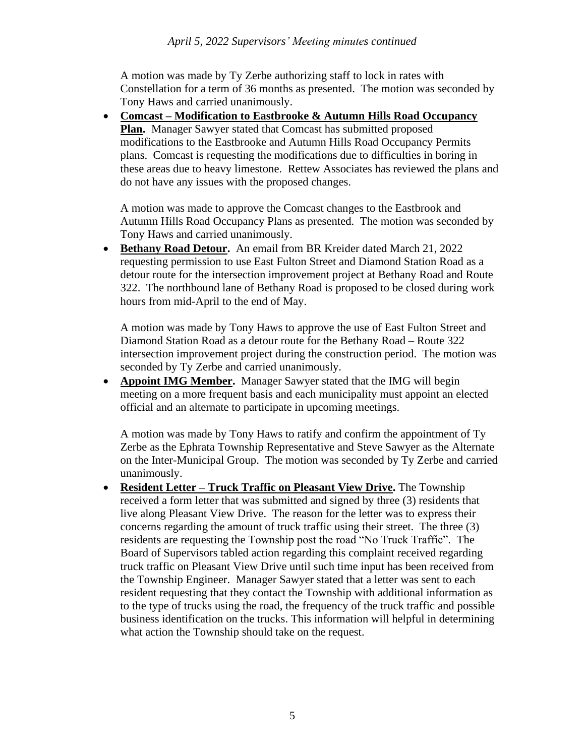A motion was made by Ty Zerbe authorizing staff to lock in rates with Constellation for a term of 36 months as presented. The motion was seconded by Tony Haws and carried unanimously.

• **Comcast – Modification to Eastbrooke & Autumn Hills Road Occupancy Plan.** Manager Sawyer stated that Comcast has submitted proposed modifications to the Eastbrooke and Autumn Hills Road Occupancy Permits plans. Comcast is requesting the modifications due to difficulties in boring in these areas due to heavy limestone. Rettew Associates has reviewed the plans and do not have any issues with the proposed changes.

A motion was made to approve the Comcast changes to the Eastbrook and Autumn Hills Road Occupancy Plans as presented. The motion was seconded by Tony Haws and carried unanimously.

• **Bethany Road Detour.** An email from BR Kreider dated March 21, 2022 requesting permission to use East Fulton Street and Diamond Station Road as a detour route for the intersection improvement project at Bethany Road and Route 322. The northbound lane of Bethany Road is proposed to be closed during work hours from mid-April to the end of May.

A motion was made by Tony Haws to approve the use of East Fulton Street and Diamond Station Road as a detour route for the Bethany Road – Route 322 intersection improvement project during the construction period. The motion was seconded by Ty Zerbe and carried unanimously.

• **Appoint IMG Member.** Manager Sawyer stated that the IMG will begin meeting on a more frequent basis and each municipality must appoint an elected official and an alternate to participate in upcoming meetings.

A motion was made by Tony Haws to ratify and confirm the appointment of Ty Zerbe as the Ephrata Township Representative and Steve Sawyer as the Alternate on the Inter-Municipal Group. The motion was seconded by Ty Zerbe and carried unanimously.

• **Resident Letter – Truck Traffic on Pleasant View Drive.** The Township received a form letter that was submitted and signed by three (3) residents that live along Pleasant View Drive. The reason for the letter was to express their concerns regarding the amount of truck traffic using their street. The three (3) residents are requesting the Township post the road "No Truck Traffic". The Board of Supervisors tabled action regarding this complaint received regarding truck traffic on Pleasant View Drive until such time input has been received from the Township Engineer. Manager Sawyer stated that a letter was sent to each resident requesting that they contact the Township with additional information as to the type of trucks using the road, the frequency of the truck traffic and possible business identification on the trucks. This information will helpful in determining what action the Township should take on the request.